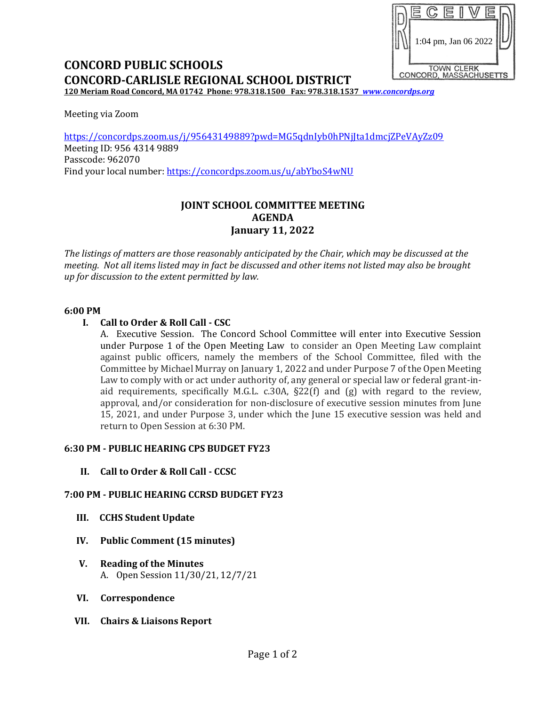

# **CONCORD PUBLIC SCHOOLS CONCORD-CARLISLE REGIONAL SCHOOL DISTRICT**

**120 Meriam Road Concord, MA 01742 Phone: 978.318.1500 Fax: 978.318.1537** *[www.concordps.org](http://www.concordps.org/)*

Meeting via Zoom

<https://concordps.zoom.us/j/95643149889?pwd=MG5qdnIyb0hPNjJta1dmcjZPeVAyZz09> Meeting ID: 956 4314 9889 Passcode: 962070 Find your local number:<https://concordps.zoom.us/u/abYboS4wNU>

# **JOINT SCHOOL COMMITTEE MEETING AGENDA January 11, 2022**

*The listings of matters are those reasonably anticipated by the Chair, which may be discussed at the meeting. Not all items listed may in fact be discussed and other items not listed may also be brought up for discussion to the extent permitted by law.*

## **6:00 PM**

## **I. Call to Order & Roll Call - CSC**

A. Executive Session. The Concord School Committee will enter into Executive Session under Purpose 1 of the Open Meeting Law to consider an Open Meeting Law complaint against public officers, namely the members of the School Committee, filed with the Committee by Michael Murray on January 1, 2022 and under Purpose 7 of the Open Meeting Law to comply with or act under authority of, any general or special law or federal grant-inaid requirements, specifically M.G.L. c.30A, §22(f) and (g) with regard to the review, approval, and/or consideration for non-disclosure of executive session minutes from June 15, 2021, and under Purpose 3, under which the June 15 executive session was held and return to Open Session at 6:30 PM.

## **6:30 PM - PUBLIC HEARING CPS BUDGET FY23**

**II. Call to Order & Roll Call - CCSC**

## **7:00 PM - PUBLIC HEARING CCRSD BUDGET FY23**

- **III. CCHS Student Update**
- **IV. Public Comment (15 minutes)**
- **V. Reading of the Minutes** A. Open Session 11/30/21, 12/7/21
- **VI. Correspondence**
- **VII. Chairs & Liaisons Report**